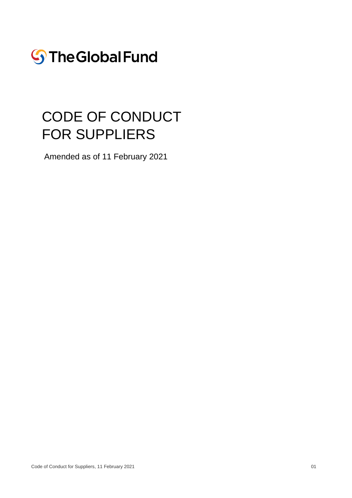

# CODE OF CONDUCT FOR SUPPLIERS

Amended as of 11 February 2021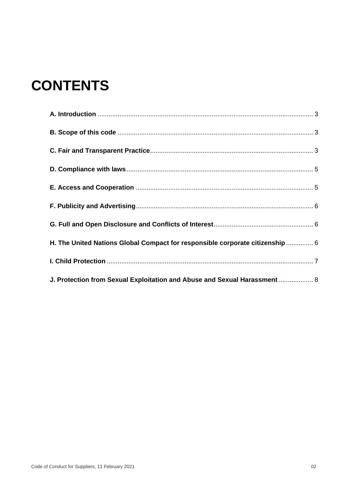# **CONTENTS**

| H. The United Nations Global Compact for responsible corporate citizenship  6 |  |
|-------------------------------------------------------------------------------|--|
|                                                                               |  |
| J. Protection from Sexual Exploitation and Abuse and Sexual Harassment  8     |  |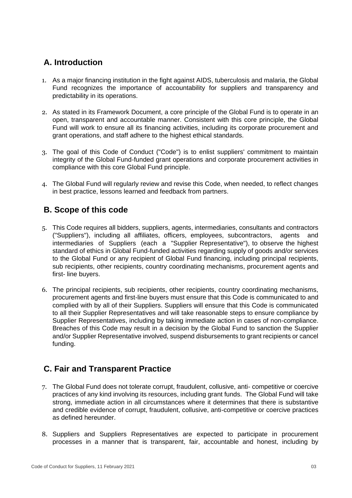## <span id="page-2-0"></span>**A. Introduction**

- 1. As a major financing institution in the fight against AIDS, tuberculosis and malaria, the Global Fund recognizes the importance of accountability for suppliers and transparency and predictability in its operations.
- 2. As stated in its Framework Document, a core principle of the Global Fund is to operate in an open, transparent and accountable manner. Consistent with this core principle, the Global Fund will work to ensure all its financing activities, including its corporate procurement and grant operations, and staff adhere to the highest ethical standards.
- 3. The goal of this Code of Conduct ("Code") is to enlist suppliers' commitment to maintain integrity of the Global Fund-funded grant operations and corporate procurement activities in compliance with this core Global Fund principle.
- 4. The Global Fund will regularly review and revise this Code, when needed, to reflect changes in best practice, lessons learned and feedback from partners.

#### <span id="page-2-1"></span>**B. Scope of this code**

- 5. This Code requires all bidders, suppliers, agents, intermediaries, consultants and contractors ("Suppliers"), including all affiliates, officers, employees, subcontractors, agents and intermediaries of Suppliers (each a "Supplier Representative"), to observe the highest standard of ethics in Global Fund-funded activities regarding supply of goods and/or services to the Global Fund or any recipient of Global Fund financing, including principal recipients, sub recipients, other recipients, country coordinating mechanisms, procurement agents and first- line buyers.
- 6. The principal recipients, sub recipients, other recipients, country coordinating mechanisms, procurement agents and first-line buyers must ensure that this Code is communicated to and complied with by all of their Suppliers. Suppliers will ensure that this Code is communicated to all their Supplier Representatives and will take reasonable steps to ensure compliance by Supplier Representatives, including by taking immediate action in cases of non-compliance. Breaches of this Code may result in a decision by the Global Fund to sanction the Supplier and/or Supplier Representative involved, suspend disbursements to grant recipients or cancel funding.

## <span id="page-2-2"></span>**C. Fair and Transparent Practice**

- 7. The Global Fund does not tolerate corrupt, fraudulent, collusive, anti- competitive or coercive practices of any kind involving its resources, including grant funds. The Global Fund will take strong, immediate action in all circumstances where it determines that there is substantive and credible evidence of corrupt, fraudulent, collusive, anti-competitive or coercive practices as defined hereunder.
- 8. Suppliers and Suppliers Representatives are expected to participate in procurement processes in a manner that is transparent, fair, accountable and honest, including by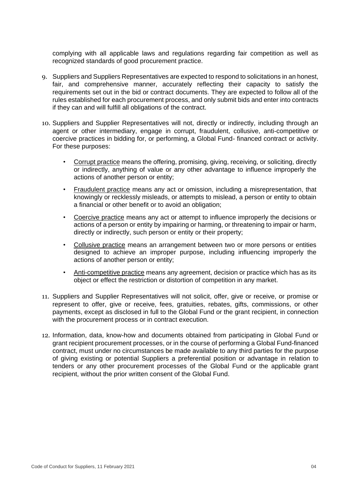complying with all applicable laws and regulations regarding fair competition as well as recognized standards of good procurement practice.

- 9. Suppliers and Suppliers Representatives are expected to respond to solicitations in an honest, fair, and comprehensive manner, accurately reflecting their capacity to satisfy the requirements set out in the bid or contract documents. They are expected to follow all of the rules established for each procurement process, and only submit bids and enter into contracts if they can and will fulfill all obligations of the contract.
- 10. Suppliers and Supplier Representatives will not, directly or indirectly, including through an agent or other intermediary, engage in corrupt, fraudulent, collusive, anti-competitive or coercive practices in bidding for, or performing, a Global Fund- financed contract or activity. For these purposes:
	- Corrupt practice means the offering, promising, giving, receiving, or soliciting, directly or indirectly, anything of value or any other advantage to influence improperly the actions of another person or entity;
	- Fraudulent practice means any act or omission, including a misrepresentation, that knowingly or recklessly misleads, or attempts to mislead, a person or entity to obtain a financial or other benefit or to avoid an obligation;
	- Coercive practice means any act or attempt to influence improperly the decisions or actions of a person or entity by impairing or harming, or threatening to impair or harm, directly or indirectly, such person or entity or their property;
	- Collusive practice means an arrangement between two or more persons or entities designed to achieve an improper purpose, including influencing improperly the actions of another person or entity;
	- Anti-competitive practice means any agreement, decision or practice which has as its object or effect the restriction or distortion of competition in any market.
- 11. Suppliers and Supplier Representatives will not solicit, offer, give or receive, or promise or represent to offer, give or receive, fees, gratuities, rebates, gifts, commissions, or other payments, except as disclosed in full to the Global Fund or the grant recipient, in connection with the procurement process or in contract execution.
- 12. Information, data, know-how and documents obtained from participating in Global Fund or grant recipient procurement processes, or in the course of performing a Global Fund-financed contract, must under no circumstances be made available to any third parties for the purpose of giving existing or potential Suppliers a preferential position or advantage in relation to tenders or any other procurement processes of the Global Fund or the applicable grant recipient, without the prior written consent of the Global Fund.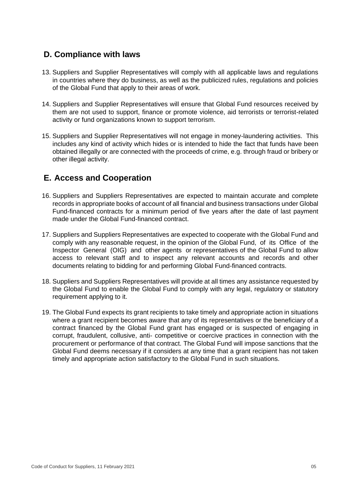#### <span id="page-4-0"></span>**D. Compliance with laws**

- 13. Suppliers and Supplier Representatives will comply with all applicable laws and regulations in countries where they do business, as well as the publicized rules, regulations and policies of the Global Fund that apply to their areas of work.
- 14. Suppliers and Supplier Representatives will ensure that Global Fund resources received by them are not used to support, finance or promote violence, aid terrorists or terrorist-related activity or fund organizations known to support terrorism.
- 15. Suppliers and Supplier Representatives will not engage in money-laundering activities. This includes any kind of activity which hides or is intended to hide the fact that funds have been obtained illegally or are connected with the proceeds of crime, e.g. through fraud or bribery or other illegal activity.

#### <span id="page-4-1"></span>**E. Access and Cooperation**

- 16. Suppliers and Suppliers Representatives are expected to maintain accurate and complete records in appropriate books of account of all financial and business transactions under Global Fund-financed contracts for a minimum period of five years after the date of last payment made under the Global Fund-financed contract.
- 17. Suppliers and Suppliers Representatives are expected to cooperate with the Global Fund and comply with any reasonable request, in the opinion of the Global Fund, of its Office of the Inspector General (OIG) and other agents or representatives of the Global Fund to allow access to relevant staff and to inspect any relevant accounts and records and other documents relating to bidding for and performing Global Fund-financed contracts.
- 18. Suppliers and Suppliers Representatives will provide at all times any assistance requested by the Global Fund to enable the Global Fund to comply with any legal, regulatory or statutory requirement applying to it.
- 19. The Global Fund expects its grant recipients to take timely and appropriate action in situations where a grant recipient becomes aware that any of its representatives or the beneficiary of a contract financed by the Global Fund grant has engaged or is suspected of engaging in corrupt, fraudulent, collusive, anti- competitive or coercive practices in connection with the procurement or performance of that contract. The Global Fund will impose sanctions that the Global Fund deems necessary if it considers at any time that a grant recipient has not taken timely and appropriate action satisfactory to the Global Fund in such situations.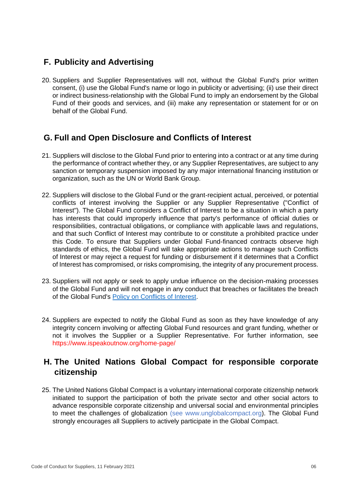### <span id="page-5-0"></span>**F. Publicity and Advertising**

20. Suppliers and Supplier Representatives will not, without the Global Fund's prior written consent, (i) use the Global Fund's name or logo in publicity or advertising; (ii) use their direct or indirect business-relationship with the Global Fund to imply an endorsement by the Global Fund of their goods and services, and (iii) make any representation or statement for or on behalf of the Global Fund.

#### <span id="page-5-1"></span>**G. Full and Open Disclosure and Conflicts of Interest**

- 21. Suppliers will disclose to the Global Fund prior to entering into a contract or at any time during the performance of contract whether they, or any Supplier Representatives, are subject to any sanction or temporary suspension imposed by any major international financing institution or organization, such as the UN or World Bank Group.
- 22. Suppliers will disclose to the Global Fund or the grant-recipient actual, perceived, or potential conflicts of interest involving the Supplier or any Supplier Representative ("Conflict of Interest"). The Global Fund considers a Conflict of Interest to be a situation in which a party has interests that could improperly influence that party's performance of official duties or responsibilities, contractual obligations, or compliance with applicable laws and regulations, and that such Conflict of Interest may contribute to or constitute a prohibited practice under this Code. To ensure that Suppliers under Global Fund-financed contracts observe high standards of ethics, the Global Fund will take appropriate actions to manage such Conflicts of Interest or may reject a request for funding or disbursement if it determines that a Conflict of Interest has compromised, or risks compromising, the integrity of any procurement process.
- 23. Suppliers will not apply or seek to apply undue influence on the decision-making processes of the Global Fund and will not engage in any conduct that breaches or facilitates the breach of the Global Fund's [Policy on Conflicts of Interest.](http://www.theglobalfund.org/media/6016/core_ethicsandconflictofinterest_policy_en.pdf)
- 24. Suppliers are expected to notify the Global Fund as soon as they have knowledge of any integrity concern involving or affecting Global Fund resources and grant funding, whether or not it involves the Supplier or a Supplier Representative. For further information, see <https://www.ispeakoutnow.org/home-page/>

### <span id="page-5-2"></span>**H. The United Nations Global Compact for responsible corporate citizenship**

25. The United Nations Global Compact is a voluntary international corporate citizenship network initiated to support the participation of both the private sector and other social actors to advance responsible corporate citizenship and universal social and environmental principles to meet the challenges of globalization (see [www.unglobalcompact.org\).](http://www.unglobalcompact.org/) The Global Fund strongly encourages all Suppliers to actively participate in the Global Compact.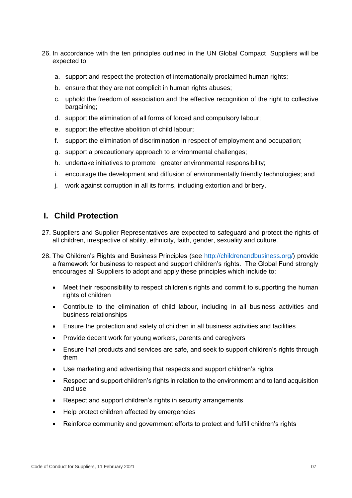- 26. In accordance with the ten principles outlined in the UN Global Compact. Suppliers will be expected to:
	- a. support and respect the protection of internationally proclaimed human rights;
	- b. ensure that they are not complicit in human rights abuses;
	- c. uphold the freedom of association and the effective recognition of the right to collective bargaining;
	- d. support the elimination of all forms of forced and compulsory labour;
	- e. support the effective abolition of child labour;
	- f. support the elimination of discrimination in respect of employment and occupation;
	- g. support a precautionary approach to environmental challenges;
	- h. undertake initiatives to promote greater environmental responsibility;
	- i. encourage the development and diffusion of environmentally friendly technologies; and
	- j. work against corruption in all its forms, including extortion and bribery.

#### <span id="page-6-0"></span>**I. Child Protection**

- 27. Suppliers and Supplier Representatives are expected to safeguard and protect the rights of all children, irrespective of ability, ethnicity, faith, gender, sexuality and culture.
- 28. The Children's Rights and Business Principles (see [http://childrenandbusiness.org/\)](http://childrenandbusiness.org/) provide a framework for business to respect and support children's rights. The Global Fund strongly encourages all Suppliers to adopt and apply these principles which include to:
	- Meet their responsibility to respect children's rights and commit to supporting the human rights of children
	- Contribute to the elimination of child labour, including in all business activities and business relationships
	- Ensure the protection and safety of children in all business activities and facilities
	- Provide decent work for young workers, parents and caregivers
	- Ensure that products and services are safe, and seek to support children's rights through them
	- Use marketing and advertising that respects and support children's rights
	- Respect and support children's rights in relation to the environment and to land acquisition and use
	- Respect and support children's rights in security arrangements
	- Help protect children affected by emergencies
	- Reinforce community and government efforts to protect and fulfill children's rights